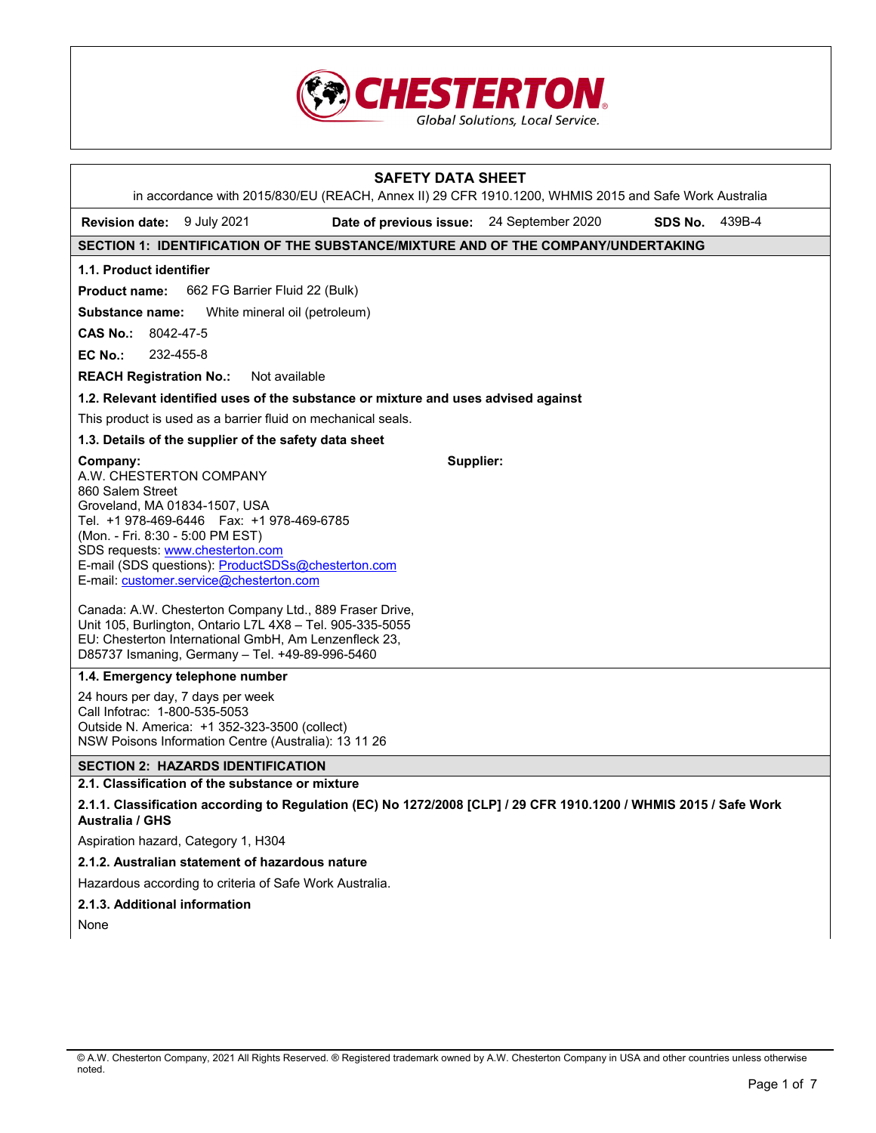

| <b>SAFETY DATA SHEET</b><br>in accordance with 2015/830/EU (REACH, Annex II) 29 CFR 1910.1200, WHMIS 2015 and Safe Work Australia                                                                                                                                                                                                                                                                                                                                                                                                                                                                                                                                                                                                                                                    |
|--------------------------------------------------------------------------------------------------------------------------------------------------------------------------------------------------------------------------------------------------------------------------------------------------------------------------------------------------------------------------------------------------------------------------------------------------------------------------------------------------------------------------------------------------------------------------------------------------------------------------------------------------------------------------------------------------------------------------------------------------------------------------------------|
| <b>Revision date:</b> 9 July 2021<br>Date of previous issue: 24 September 2020<br>SDS No.<br>439B-4                                                                                                                                                                                                                                                                                                                                                                                                                                                                                                                                                                                                                                                                                  |
| SECTION 1: IDENTIFICATION OF THE SUBSTANCE/MIXTURE AND OF THE COMPANY/UNDERTAKING                                                                                                                                                                                                                                                                                                                                                                                                                                                                                                                                                                                                                                                                                                    |
| 1.1. Product identifier                                                                                                                                                                                                                                                                                                                                                                                                                                                                                                                                                                                                                                                                                                                                                              |
| 662 FG Barrier Fluid 22 (Bulk)<br><b>Product name:</b>                                                                                                                                                                                                                                                                                                                                                                                                                                                                                                                                                                                                                                                                                                                               |
| White mineral oil (petroleum)<br>Substance name:                                                                                                                                                                                                                                                                                                                                                                                                                                                                                                                                                                                                                                                                                                                                     |
| CAS No.: $8042-47-5$                                                                                                                                                                                                                                                                                                                                                                                                                                                                                                                                                                                                                                                                                                                                                                 |
| 232-455-8<br>EC No.:                                                                                                                                                                                                                                                                                                                                                                                                                                                                                                                                                                                                                                                                                                                                                                 |
| Not available<br><b>REACH Registration No.:</b>                                                                                                                                                                                                                                                                                                                                                                                                                                                                                                                                                                                                                                                                                                                                      |
| 1.2. Relevant identified uses of the substance or mixture and uses advised against                                                                                                                                                                                                                                                                                                                                                                                                                                                                                                                                                                                                                                                                                                   |
| This product is used as a barrier fluid on mechanical seals.                                                                                                                                                                                                                                                                                                                                                                                                                                                                                                                                                                                                                                                                                                                         |
| 1.3. Details of the supplier of the safety data sheet                                                                                                                                                                                                                                                                                                                                                                                                                                                                                                                                                                                                                                                                                                                                |
| Supplier:<br>Company:<br>A.W. CHESTERTON COMPANY<br>860 Salem Street<br>Groveland, MA 01834-1507, USA<br>Tel. +1 978-469-6446    Fax: +1 978-469-6785<br>(Mon. - Fri. 8:30 - 5:00 PM EST)<br>SDS requests: www.chesterton.com<br>E-mail (SDS questions): ProductSDSs@chesterton.com<br>E-mail: customer.service@chesterton.com<br>Canada: A.W. Chesterton Company Ltd., 889 Fraser Drive,<br>Unit 105, Burlington, Ontario L7L 4X8 - Tel. 905-335-5055<br>EU: Chesterton International GmbH, Am Lenzenfleck 23,<br>D85737 Ismaning, Germany - Tel. +49-89-996-5460<br>1.4. Emergency telephone number<br>24 hours per day, 7 days per week<br>Call Infotrac: 1-800-535-5053<br>Outside N. America: +1 352-323-3500 (collect)<br>NSW Poisons Information Centre (Australia): 13 11 26 |
| <b>SECTION 2: HAZARDS IDENTIFICATION</b>                                                                                                                                                                                                                                                                                                                                                                                                                                                                                                                                                                                                                                                                                                                                             |
| 2.1. Classification of the substance or mixture                                                                                                                                                                                                                                                                                                                                                                                                                                                                                                                                                                                                                                                                                                                                      |
| 2.1.1. Classification according to Regulation (EC) No 1272/2008 [CLP] / 29 CFR 1910.1200 / WHMIS 2015 / Safe Work<br><b>Australia / GHS</b>                                                                                                                                                                                                                                                                                                                                                                                                                                                                                                                                                                                                                                          |
| Aspiration hazard, Category 1, H304                                                                                                                                                                                                                                                                                                                                                                                                                                                                                                                                                                                                                                                                                                                                                  |
| 2.1.2. Australian statement of hazardous nature                                                                                                                                                                                                                                                                                                                                                                                                                                                                                                                                                                                                                                                                                                                                      |
| Hazardous according to criteria of Safe Work Australia.                                                                                                                                                                                                                                                                                                                                                                                                                                                                                                                                                                                                                                                                                                                              |
| 2.1.3. Additional information                                                                                                                                                                                                                                                                                                                                                                                                                                                                                                                                                                                                                                                                                                                                                        |

None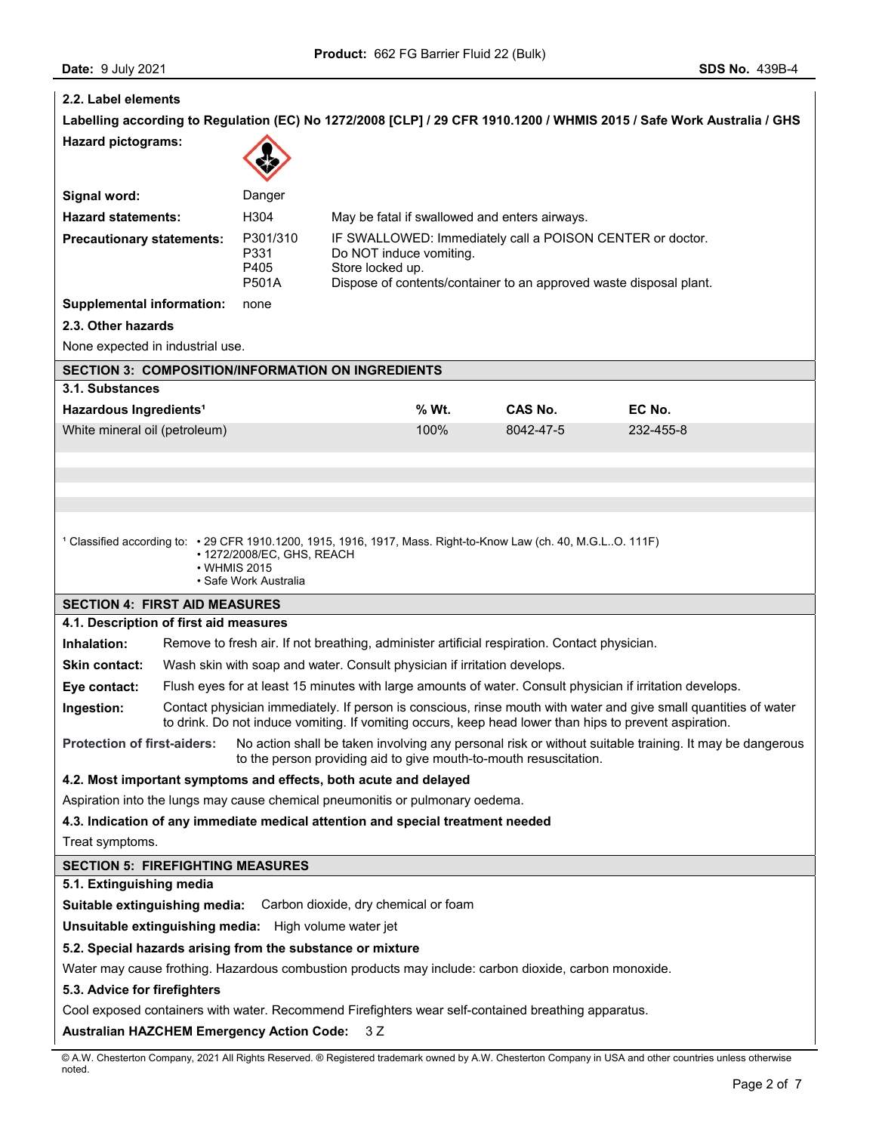| 2.2. Label elements                                                                                                                                                                                                                      |                                                                                                                                                                                              |                                          |                                                                                                                                                                                |       |                                                                                              |                                                                                                                       |
|------------------------------------------------------------------------------------------------------------------------------------------------------------------------------------------------------------------------------------------|----------------------------------------------------------------------------------------------------------------------------------------------------------------------------------------------|------------------------------------------|--------------------------------------------------------------------------------------------------------------------------------------------------------------------------------|-------|----------------------------------------------------------------------------------------------|-----------------------------------------------------------------------------------------------------------------------|
|                                                                                                                                                                                                                                          |                                                                                                                                                                                              |                                          |                                                                                                                                                                                |       |                                                                                              | Labelling according to Regulation (EC) No 1272/2008 [CLP] / 29 CFR 1910.1200 / WHMIS 2015 / Safe Work Australia / GHS |
| <b>Hazard pictograms:</b>                                                                                                                                                                                                                |                                                                                                                                                                                              |                                          |                                                                                                                                                                                |       |                                                                                              |                                                                                                                       |
| Signal word:                                                                                                                                                                                                                             |                                                                                                                                                                                              | Danger                                   |                                                                                                                                                                                |       |                                                                                              |                                                                                                                       |
| <b>Hazard statements:</b>                                                                                                                                                                                                                |                                                                                                                                                                                              | H304                                     |                                                                                                                                                                                |       | May be fatal if swallowed and enters airways.                                                |                                                                                                                       |
| <b>Precautionary statements:</b>                                                                                                                                                                                                         |                                                                                                                                                                                              | P301/310<br>P331<br>P405<br><b>P501A</b> | IF SWALLOWED: Immediately call a POISON CENTER or doctor.<br>Do NOT induce vomiting.<br>Store locked up.<br>Dispose of contents/container to an approved waste disposal plant. |       |                                                                                              |                                                                                                                       |
| <b>Supplemental information:</b>                                                                                                                                                                                                         |                                                                                                                                                                                              | none                                     |                                                                                                                                                                                |       |                                                                                              |                                                                                                                       |
| 2.3. Other hazards                                                                                                                                                                                                                       |                                                                                                                                                                                              |                                          |                                                                                                                                                                                |       |                                                                                              |                                                                                                                       |
| None expected in industrial use.                                                                                                                                                                                                         |                                                                                                                                                                                              |                                          |                                                                                                                                                                                |       |                                                                                              |                                                                                                                       |
| <b>SECTION 3: COMPOSITION/INFORMATION ON INGREDIENTS</b>                                                                                                                                                                                 |                                                                                                                                                                                              |                                          |                                                                                                                                                                                |       |                                                                                              |                                                                                                                       |
| 3.1. Substances                                                                                                                                                                                                                          |                                                                                                                                                                                              |                                          |                                                                                                                                                                                |       |                                                                                              |                                                                                                                       |
| Hazardous Ingredients <sup>1</sup>                                                                                                                                                                                                       |                                                                                                                                                                                              |                                          |                                                                                                                                                                                | % Wt. | CAS No.                                                                                      | EC No.                                                                                                                |
| White mineral oil (petroleum)                                                                                                                                                                                                            |                                                                                                                                                                                              |                                          |                                                                                                                                                                                | 100%  | 8042-47-5                                                                                    | 232-455-8                                                                                                             |
|                                                                                                                                                                                                                                          | 1 Classified according to: • 29 CFR 1910.1200, 1915, 1916, 1917, Mass. Right-to-Know Law (ch. 40, M.G.LO. 111F)<br>• 1272/2008/EC, GHS, REACH<br>$\cdot$ WHMIS 2015<br>• Safe Work Australia |                                          |                                                                                                                                                                                |       |                                                                                              |                                                                                                                       |
| <b>SECTION 4: FIRST AID MEASURES</b>                                                                                                                                                                                                     |                                                                                                                                                                                              |                                          |                                                                                                                                                                                |       |                                                                                              |                                                                                                                       |
| 4.1. Description of first aid measures                                                                                                                                                                                                   |                                                                                                                                                                                              |                                          |                                                                                                                                                                                |       |                                                                                              |                                                                                                                       |
| Inhalation:                                                                                                                                                                                                                              |                                                                                                                                                                                              |                                          |                                                                                                                                                                                |       | Remove to fresh air. If not breathing, administer artificial respiration. Contact physician. |                                                                                                                       |
| <b>Skin contact:</b>                                                                                                                                                                                                                     | Wash skin with soap and water. Consult physician if irritation develops.                                                                                                                     |                                          |                                                                                                                                                                                |       |                                                                                              |                                                                                                                       |
| Eye contact:                                                                                                                                                                                                                             |                                                                                                                                                                                              |                                          |                                                                                                                                                                                |       |                                                                                              | Flush eyes for at least 15 minutes with large amounts of water. Consult physician if irritation develops.             |
| Ingestion:<br>Contact physician immediately. If person is conscious, rinse mouth with water and give small quantities of water<br>to drink. Do not induce vomiting. If vomiting occurs, keep head lower than hips to prevent aspiration. |                                                                                                                                                                                              |                                          |                                                                                                                                                                                |       |                                                                                              |                                                                                                                       |
| <b>Protection of first-aiders:</b>                                                                                                                                                                                                       |                                                                                                                                                                                              |                                          |                                                                                                                                                                                |       | to the person providing aid to give mouth-to-mouth resuscitation.                            | No action shall be taken involving any personal risk or without suitable training. It may be dangerous                |
| 4.2. Most important symptoms and effects, both acute and delayed                                                                                                                                                                         |                                                                                                                                                                                              |                                          |                                                                                                                                                                                |       |                                                                                              |                                                                                                                       |
| Aspiration into the lungs may cause chemical pneumonitis or pulmonary oedema.                                                                                                                                                            |                                                                                                                                                                                              |                                          |                                                                                                                                                                                |       |                                                                                              |                                                                                                                       |
| 4.3. Indication of any immediate medical attention and special treatment needed                                                                                                                                                          |                                                                                                                                                                                              |                                          |                                                                                                                                                                                |       |                                                                                              |                                                                                                                       |
| Treat symptoms.                                                                                                                                                                                                                          |                                                                                                                                                                                              |                                          |                                                                                                                                                                                |       |                                                                                              |                                                                                                                       |
| <b>SECTION 5: FIREFIGHTING MEASURES</b>                                                                                                                                                                                                  |                                                                                                                                                                                              |                                          |                                                                                                                                                                                |       |                                                                                              |                                                                                                                       |
| 5.1. Extinguishing media                                                                                                                                                                                                                 |                                                                                                                                                                                              |                                          |                                                                                                                                                                                |       |                                                                                              |                                                                                                                       |
| Suitable extinguishing media:                                                                                                                                                                                                            |                                                                                                                                                                                              |                                          | Carbon dioxide, dry chemical or foam                                                                                                                                           |       |                                                                                              |                                                                                                                       |
| <b>Unsuitable extinguishing media:</b> High volume water jet                                                                                                                                                                             |                                                                                                                                                                                              |                                          |                                                                                                                                                                                |       |                                                                                              |                                                                                                                       |
| 5.2. Special hazards arising from the substance or mixture                                                                                                                                                                               |                                                                                                                                                                                              |                                          |                                                                                                                                                                                |       |                                                                                              |                                                                                                                       |
| Water may cause frothing. Hazardous combustion products may include: carbon dioxide, carbon monoxide.                                                                                                                                    |                                                                                                                                                                                              |                                          |                                                                                                                                                                                |       |                                                                                              |                                                                                                                       |
| 5.3. Advice for firefighters<br>Cool exposed containers with water. Recommend Firefighters wear self-contained breathing apparatus.                                                                                                      |                                                                                                                                                                                              |                                          |                                                                                                                                                                                |       |                                                                                              |                                                                                                                       |
|                                                                                                                                                                                                                                          |                                                                                                                                                                                              |                                          |                                                                                                                                                                                |       |                                                                                              |                                                                                                                       |
| <b>Australian HAZCHEM Emergency Action Code:</b><br>3 Z                                                                                                                                                                                  |                                                                                                                                                                                              |                                          |                                                                                                                                                                                |       |                                                                                              |                                                                                                                       |

<sup>©</sup> A.W. Chesterton Company, 2021 All Rights Reserved. ® Registered trademark owned by A.W. Chesterton Company in USA and other countries unless otherwise noted.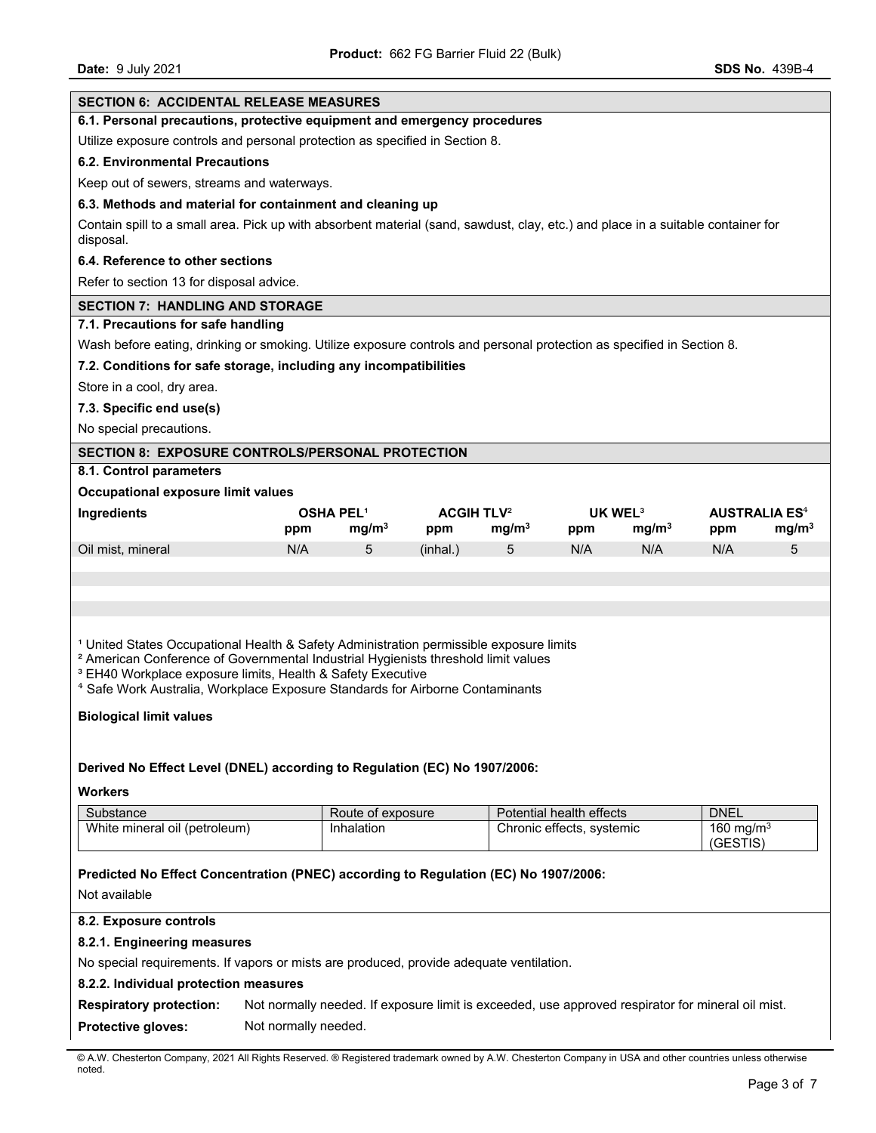| <b>SECTION 6: ACCIDENTAL RELEASE MEASURES</b>                                                                                                                                                                                                                                                                                                                             |                                                                              |                   |                              |                   |                           |                   |                          |                                 |
|---------------------------------------------------------------------------------------------------------------------------------------------------------------------------------------------------------------------------------------------------------------------------------------------------------------------------------------------------------------------------|------------------------------------------------------------------------------|-------------------|------------------------------|-------------------|---------------------------|-------------------|--------------------------|---------------------------------|
| 6.1. Personal precautions, protective equipment and emergency procedures                                                                                                                                                                                                                                                                                                  |                                                                              |                   |                              |                   |                           |                   |                          |                                 |
|                                                                                                                                                                                                                                                                                                                                                                           | Utilize exposure controls and personal protection as specified in Section 8. |                   |                              |                   |                           |                   |                          |                                 |
| 6.2. Environmental Precautions                                                                                                                                                                                                                                                                                                                                            |                                                                              |                   |                              |                   |                           |                   |                          |                                 |
| Keep out of sewers, streams and waterways.                                                                                                                                                                                                                                                                                                                                |                                                                              |                   |                              |                   |                           |                   |                          |                                 |
| 6.3. Methods and material for containment and cleaning up                                                                                                                                                                                                                                                                                                                 |                                                                              |                   |                              |                   |                           |                   |                          |                                 |
| Contain spill to a small area. Pick up with absorbent material (sand, sawdust, clay, etc.) and place in a suitable container for<br>disposal.                                                                                                                                                                                                                             |                                                                              |                   |                              |                   |                           |                   |                          |                                 |
| 6.4. Reference to other sections                                                                                                                                                                                                                                                                                                                                          |                                                                              |                   |                              |                   |                           |                   |                          |                                 |
| Refer to section 13 for disposal advice.                                                                                                                                                                                                                                                                                                                                  |                                                                              |                   |                              |                   |                           |                   |                          |                                 |
| <b>SECTION 7: HANDLING AND STORAGE</b>                                                                                                                                                                                                                                                                                                                                    |                                                                              |                   |                              |                   |                           |                   |                          |                                 |
| 7.1. Precautions for safe handling                                                                                                                                                                                                                                                                                                                                        |                                                                              |                   |                              |                   |                           |                   |                          |                                 |
| Wash before eating, drinking or smoking. Utilize exposure controls and personal protection as specified in Section 8.                                                                                                                                                                                                                                                     |                                                                              |                   |                              |                   |                           |                   |                          |                                 |
| 7.2. Conditions for safe storage, including any incompatibilities                                                                                                                                                                                                                                                                                                         |                                                                              |                   |                              |                   |                           |                   |                          |                                 |
| Store in a cool, dry area.                                                                                                                                                                                                                                                                                                                                                |                                                                              |                   |                              |                   |                           |                   |                          |                                 |
| 7.3. Specific end use(s)                                                                                                                                                                                                                                                                                                                                                  |                                                                              |                   |                              |                   |                           |                   |                          |                                 |
| No special precautions.                                                                                                                                                                                                                                                                                                                                                   |                                                                              |                   |                              |                   |                           |                   |                          |                                 |
| <b>SECTION 8: EXPOSURE CONTROLS/PERSONAL PROTECTION</b>                                                                                                                                                                                                                                                                                                                   |                                                                              |                   |                              |                   |                           |                   |                          |                                 |
| 8.1. Control parameters                                                                                                                                                                                                                                                                                                                                                   |                                                                              |                   |                              |                   |                           |                   |                          |                                 |
| Occupational exposure limit values                                                                                                                                                                                                                                                                                                                                        |                                                                              |                   |                              |                   |                           |                   |                          |                                 |
| Ingredients                                                                                                                                                                                                                                                                                                                                                               |                                                                              | <b>OSHA PEL1</b>  | <b>ACGIH TLV<sup>2</sup></b> |                   | UK WEL <sup>3</sup>       |                   |                          | <b>AUSTRALIA ES<sup>4</sup></b> |
|                                                                                                                                                                                                                                                                                                                                                                           | ppm                                                                          | mg/m <sup>3</sup> | ppm                          | mg/m <sup>3</sup> | ppm                       | mg/m <sup>3</sup> | ppm                      | mg/m <sup>3</sup>               |
| Oil mist, mineral                                                                                                                                                                                                                                                                                                                                                         | N/A                                                                          | 5                 | (inhal.)                     | 5                 | N/A                       | N/A               | N/A                      | 5                               |
|                                                                                                                                                                                                                                                                                                                                                                           |                                                                              |                   |                              |                   |                           |                   |                          |                                 |
|                                                                                                                                                                                                                                                                                                                                                                           |                                                                              |                   |                              |                   |                           |                   |                          |                                 |
|                                                                                                                                                                                                                                                                                                                                                                           |                                                                              |                   |                              |                   |                           |                   |                          |                                 |
| <sup>1</sup> United States Occupational Health & Safety Administration permissible exposure limits<br><sup>2</sup> American Conference of Governmental Industrial Hygienists threshold limit values<br><sup>3</sup> EH40 Workplace exposure limits, Health & Safety Executive<br><sup>4</sup> Safe Work Australia, Workplace Exposure Standards for Airborne Contaminants |                                                                              |                   |                              |                   |                           |                   |                          |                                 |
| <b>Biological limit values</b>                                                                                                                                                                                                                                                                                                                                            |                                                                              |                   |                              |                   |                           |                   |                          |                                 |
|                                                                                                                                                                                                                                                                                                                                                                           |                                                                              |                   |                              |                   |                           |                   |                          |                                 |
|                                                                                                                                                                                                                                                                                                                                                                           |                                                                              |                   |                              |                   |                           |                   |                          |                                 |
| Derived No Effect Level (DNEL) according to Regulation (EC) No 1907/2006:                                                                                                                                                                                                                                                                                                 |                                                                              |                   |                              |                   |                           |                   |                          |                                 |
| Workers                                                                                                                                                                                                                                                                                                                                                                   |                                                                              |                   |                              |                   |                           |                   |                          |                                 |
| Substance                                                                                                                                                                                                                                                                                                                                                                 |                                                                              | Route of exposure |                              |                   | Potential health effects  |                   | <b>DNEL</b>              |                                 |
| White mineral oil (petroleum)                                                                                                                                                                                                                                                                                                                                             |                                                                              | Inhalation        |                              |                   | Chronic effects, systemic |                   | 160 mg/m $3$<br>(GESTIS) |                                 |
|                                                                                                                                                                                                                                                                                                                                                                           |                                                                              |                   |                              |                   |                           |                   |                          |                                 |
| Predicted No Effect Concentration (PNEC) according to Regulation (EC) No 1907/2006:                                                                                                                                                                                                                                                                                       |                                                                              |                   |                              |                   |                           |                   |                          |                                 |
| Not available                                                                                                                                                                                                                                                                                                                                                             |                                                                              |                   |                              |                   |                           |                   |                          |                                 |
| 8.2. Exposure controls                                                                                                                                                                                                                                                                                                                                                    |                                                                              |                   |                              |                   |                           |                   |                          |                                 |
| 8.2.1. Engineering measures                                                                                                                                                                                                                                                                                                                                               |                                                                              |                   |                              |                   |                           |                   |                          |                                 |
| No special requirements. If vapors or mists are produced, provide adequate ventilation.                                                                                                                                                                                                                                                                                   |                                                                              |                   |                              |                   |                           |                   |                          |                                 |
| 8.2.2. Individual protection measures                                                                                                                                                                                                                                                                                                                                     |                                                                              |                   |                              |                   |                           |                   |                          |                                 |
| <b>Respiratory protection:</b><br>Not normally needed. If exposure limit is exceeded, use approved respirator for mineral oil mist.                                                                                                                                                                                                                                       |                                                                              |                   |                              |                   |                           |                   |                          |                                 |
| Not normally needed.<br>Protective gloves:                                                                                                                                                                                                                                                                                                                                |                                                                              |                   |                              |                   |                           |                   |                          |                                 |
|                                                                                                                                                                                                                                                                                                                                                                           |                                                                              |                   |                              |                   |                           |                   |                          |                                 |

© A.W. Chesterton Company, 2021 All Rights Reserved. ® Registered trademark owned by A.W. Chesterton Company in USA and other countries unless otherwise noted.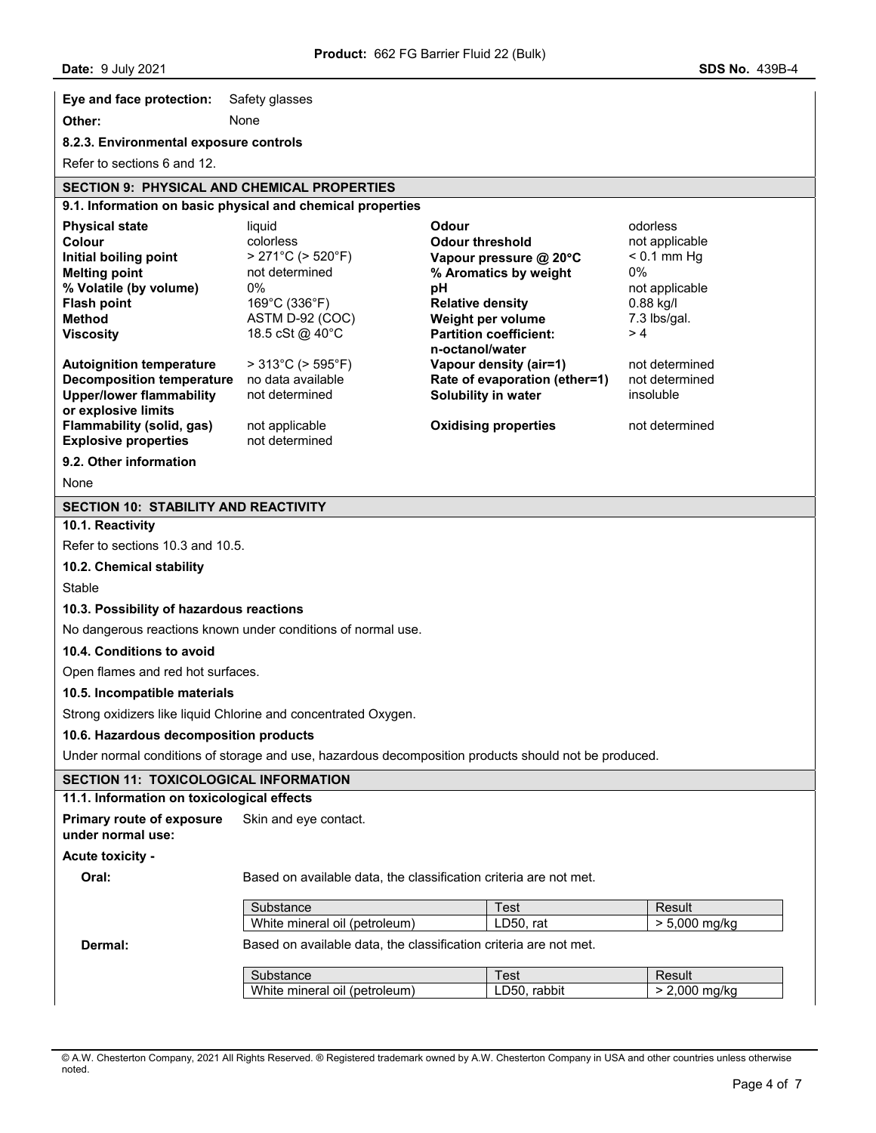**Eye and face protection:** Safety glasses

**Other:** None

## **8.2.3. Environmental exposure controls**

Refer to sections 6 and 12.

# **SECTION 9: PHYSICAL AND CHEMICAL PROPERTIES**

# **9.1. Information on basic physical and chemical properties**

| <b>Physical state</b><br>Colour<br>Initial boiling point<br><b>Melting point</b><br>% Volatile (by volume)<br><b>Flash point</b><br><b>Method</b><br><b>Viscosity</b><br><b>Autoignition temperature</b><br><b>Decomposition temperature</b><br><b>Upper/lower flammability</b> | liquid<br>colorless<br>> 271°C (> 520°F)<br>not determined<br>0%<br>169°C (336°F)<br>ASTM D-92 (COC)<br>18.5 cSt @ 40°C<br>$>313^{\circ}$ C ( $>595^{\circ}$ F)<br>no data available<br>not determined | Odour<br><b>Odour threshold</b><br>Vapour pressure @ 20°C<br>% Aromatics by weight<br>рH<br><b>Relative density</b><br>Weight per volume<br><b>Partition coefficient:</b><br>n-octanol/water<br>Vapour density (air=1)<br>Rate of evaporation (ether=1)<br>Solubility in water | odorless<br>not applicable<br>$< 0.1$ mm Hg<br>0%<br>not applicable<br>$0.88$ kg/l<br>7.3 lbs/gal.<br>>4<br>not determined<br>not determined<br>insoluble |  |  |
|---------------------------------------------------------------------------------------------------------------------------------------------------------------------------------------------------------------------------------------------------------------------------------|--------------------------------------------------------------------------------------------------------------------------------------------------------------------------------------------------------|--------------------------------------------------------------------------------------------------------------------------------------------------------------------------------------------------------------------------------------------------------------------------------|-----------------------------------------------------------------------------------------------------------------------------------------------------------|--|--|
| or explosive limits<br>Flammability (solid, gas)<br><b>Explosive properties</b>                                                                                                                                                                                                 | not applicable<br>not determined                                                                                                                                                                       | <b>Oxidising properties</b>                                                                                                                                                                                                                                                    | not determined                                                                                                                                            |  |  |
| 9.2. Other information                                                                                                                                                                                                                                                          |                                                                                                                                                                                                        |                                                                                                                                                                                                                                                                                |                                                                                                                                                           |  |  |
| None                                                                                                                                                                                                                                                                            |                                                                                                                                                                                                        |                                                                                                                                                                                                                                                                                |                                                                                                                                                           |  |  |
| <b>SECTION 10: STABILITY AND REACTIVITY</b>                                                                                                                                                                                                                                     |                                                                                                                                                                                                        |                                                                                                                                                                                                                                                                                |                                                                                                                                                           |  |  |
| 10.1. Reactivity                                                                                                                                                                                                                                                                |                                                                                                                                                                                                        |                                                                                                                                                                                                                                                                                |                                                                                                                                                           |  |  |
| Refer to sections 10.3 and 10.5.                                                                                                                                                                                                                                                |                                                                                                                                                                                                        |                                                                                                                                                                                                                                                                                |                                                                                                                                                           |  |  |
| 10.2. Chemical stability                                                                                                                                                                                                                                                        |                                                                                                                                                                                                        |                                                                                                                                                                                                                                                                                |                                                                                                                                                           |  |  |
| Stable                                                                                                                                                                                                                                                                          |                                                                                                                                                                                                        |                                                                                                                                                                                                                                                                                |                                                                                                                                                           |  |  |
| 10.3. Possibility of hazardous reactions                                                                                                                                                                                                                                        |                                                                                                                                                                                                        |                                                                                                                                                                                                                                                                                |                                                                                                                                                           |  |  |
| No dangerous reactions known under conditions of normal use.                                                                                                                                                                                                                    |                                                                                                                                                                                                        |                                                                                                                                                                                                                                                                                |                                                                                                                                                           |  |  |
| 10.4. Conditions to avoid                                                                                                                                                                                                                                                       |                                                                                                                                                                                                        |                                                                                                                                                                                                                                                                                |                                                                                                                                                           |  |  |
| Open flames and red hot surfaces.                                                                                                                                                                                                                                               |                                                                                                                                                                                                        |                                                                                                                                                                                                                                                                                |                                                                                                                                                           |  |  |
| 10.5. Incompatible materials                                                                                                                                                                                                                                                    |                                                                                                                                                                                                        |                                                                                                                                                                                                                                                                                |                                                                                                                                                           |  |  |
| Strong oxidizers like liquid Chlorine and concentrated Oxygen.                                                                                                                                                                                                                  |                                                                                                                                                                                                        |                                                                                                                                                                                                                                                                                |                                                                                                                                                           |  |  |
| 10.6. Hazardous decomposition products                                                                                                                                                                                                                                          |                                                                                                                                                                                                        |                                                                                                                                                                                                                                                                                |                                                                                                                                                           |  |  |
| Under normal conditions of storage and use, hazardous decomposition products should not be produced.                                                                                                                                                                            |                                                                                                                                                                                                        |                                                                                                                                                                                                                                                                                |                                                                                                                                                           |  |  |
| <b>SECTION 11: TOXICOLOGICAL INFORMATION</b>                                                                                                                                                                                                                                    |                                                                                                                                                                                                        |                                                                                                                                                                                                                                                                                |                                                                                                                                                           |  |  |
| 11.1. Information on toxicological effects                                                                                                                                                                                                                                      |                                                                                                                                                                                                        |                                                                                                                                                                                                                                                                                |                                                                                                                                                           |  |  |
| <b>Primary route of exposure</b><br>under normal use:                                                                                                                                                                                                                           | Skin and eye contact.                                                                                                                                                                                  |                                                                                                                                                                                                                                                                                |                                                                                                                                                           |  |  |
| <b>Acute toxicity -</b>                                                                                                                                                                                                                                                         |                                                                                                                                                                                                        |                                                                                                                                                                                                                                                                                |                                                                                                                                                           |  |  |
| Oral:                                                                                                                                                                                                                                                                           | Based on available data, the classification criteria are not met.                                                                                                                                      |                                                                                                                                                                                                                                                                                |                                                                                                                                                           |  |  |
| Dermal:                                                                                                                                                                                                                                                                         | Substance<br>White mineral oil (petroleum)<br>Based on available data, the classification criteria are not met.                                                                                        | Test<br>LD50, rat                                                                                                                                                                                                                                                              | Result<br>> 5,000 mg/kg                                                                                                                                   |  |  |
|                                                                                                                                                                                                                                                                                 | Substance<br>White mineral oil (petroleum)                                                                                                                                                             | Test<br>LD50, rabbit                                                                                                                                                                                                                                                           | Result<br>> 2,000 mg/kg                                                                                                                                   |  |  |
|                                                                                                                                                                                                                                                                                 |                                                                                                                                                                                                        |                                                                                                                                                                                                                                                                                |                                                                                                                                                           |  |  |

<sup>©</sup> A.W. Chesterton Company, 2021 All Rights Reserved. ® Registered trademark owned by A.W. Chesterton Company in USA and other countries unless otherwise noted.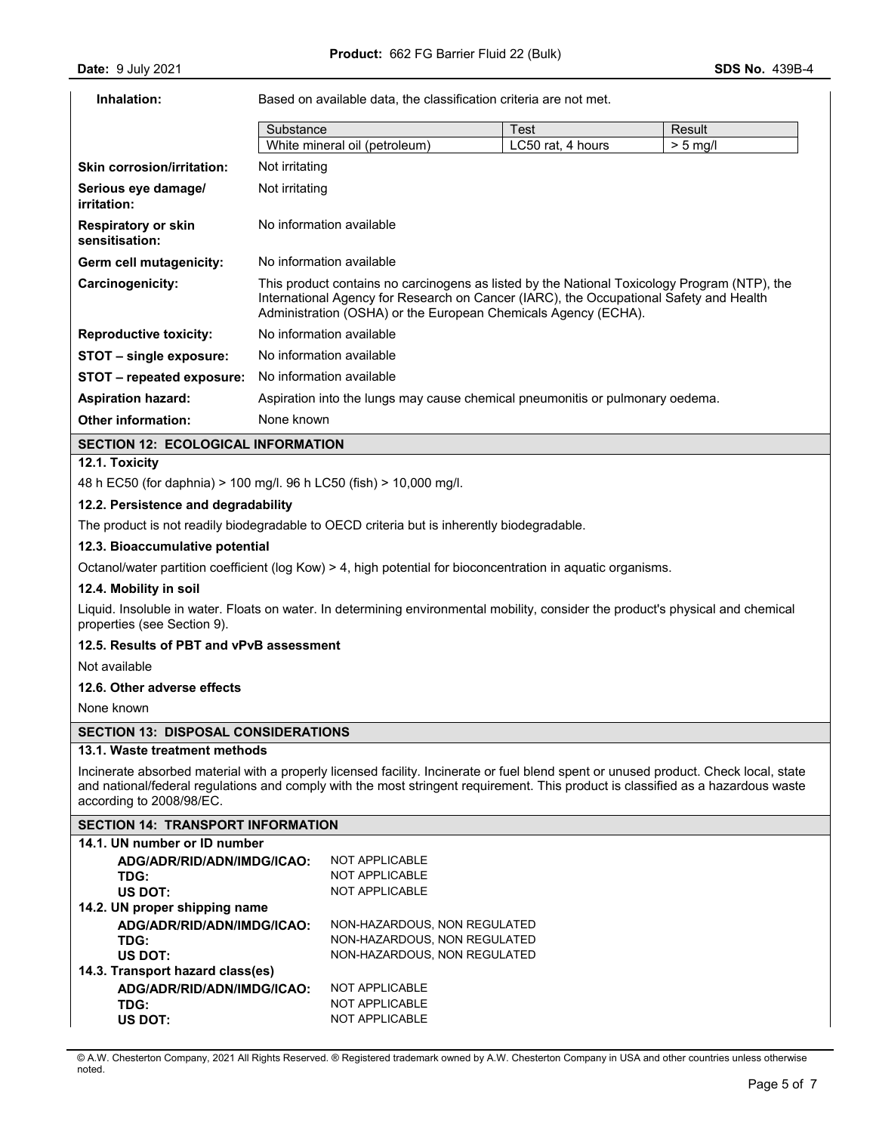# **Inhalation:** Based on available data, the classification criteria are not met.

|                                              | Substance                                                                                                                                                                                                                                                | Test              | Result    |  |  |
|----------------------------------------------|----------------------------------------------------------------------------------------------------------------------------------------------------------------------------------------------------------------------------------------------------------|-------------------|-----------|--|--|
|                                              | White mineral oil (petroleum)                                                                                                                                                                                                                            | LC50 rat, 4 hours | $> 5$ ma/ |  |  |
| <b>Skin corrosion/irritation:</b>            | Not irritating                                                                                                                                                                                                                                           |                   |           |  |  |
| Serious eye damage/<br>irritation:           | Not irritating                                                                                                                                                                                                                                           |                   |           |  |  |
| <b>Respiratory or skin</b><br>sensitisation: | No information available                                                                                                                                                                                                                                 |                   |           |  |  |
| Germ cell mutagenicity:                      | No information available                                                                                                                                                                                                                                 |                   |           |  |  |
| Carcinogenicity:                             | This product contains no carcinogens as listed by the National Toxicology Program (NTP), the<br>International Agency for Research on Cancer (IARC), the Occupational Safety and Health<br>Administration (OSHA) or the European Chemicals Agency (ECHA). |                   |           |  |  |
| <b>Reproductive toxicity:</b>                | No information available                                                                                                                                                                                                                                 |                   |           |  |  |
| STOT – single exposure:                      | No information available                                                                                                                                                                                                                                 |                   |           |  |  |
| STOT – repeated exposure:                    | No information available                                                                                                                                                                                                                                 |                   |           |  |  |
| <b>Aspiration hazard:</b>                    | Aspiration into the lungs may cause chemical pneumonitis or pulmonary oedema.                                                                                                                                                                            |                   |           |  |  |
| <b>Other information:</b>                    | None known                                                                                                                                                                                                                                               |                   |           |  |  |

#### **SECTION 12: ECOLOGICAL INFORMATION**

## **12.1. Toxicity**

48 h EC50 (for daphnia) > 100 mg/l. 96 h LC50 (fish) > 10,000 mg/l.

#### **12.2. Persistence and degradability**

The product is not readily biodegradable to OECD criteria but is inherently biodegradable.

#### **12.3. Bioaccumulative potential**

Octanol/water partition coefficient (log Kow) > 4, high potential for bioconcentration in aquatic organisms.

#### **12.4. Mobility in soil**

Liquid. Insoluble in water. Floats on water. In determining environmental mobility, consider the product's physical and chemical properties (see Section 9).

## **12.5. Results of PBT and vPvB assessment**

Not available

## **12.6. Other adverse effects**

None known

# **SECTION 13: DISPOSAL CONSIDERATIONS**

#### **13.1. Waste treatment methods**

Incinerate absorbed material with a properly licensed facility. Incinerate or fuel blend spent or unused product. Check local, state and national/federal regulations and comply with the most stringent requirement. This product is classified as a hazardous waste according to 2008/98/EC.

# **SECTION 14: TRANSPORT INFORMATION**

| 14.1. UN number or ID number     |                              |
|----------------------------------|------------------------------|
| ADG/ADR/RID/ADN/IMDG/ICAO:       | NOT APPLICABLE               |
| TDG:                             | <b>NOT APPLICABLE</b>        |
| US DOT:                          | <b>NOT APPLICABLE</b>        |
| 14.2. UN proper shipping name    |                              |
| ADG/ADR/RID/ADN/IMDG/ICAO:       | NON-HAZARDOUS, NON REGULATED |
| TDG:                             | NON-HAZARDOUS, NON REGULATED |
| US DOT:                          | NON-HAZARDOUS, NON REGULATED |
| 14.3. Transport hazard class(es) |                              |
| ADG/ADR/RID/ADN/IMDG/ICAO:       | NOT APPLICABLE               |
| TDG:                             | <b>NOT APPLICABLE</b>        |
| US DOT:                          | <b>NOT APPLICABLE</b>        |

© A.W. Chesterton Company, 2021 All Rights Reserved. ® Registered trademark owned by A.W. Chesterton Company in USA and other countries unless otherwise noted.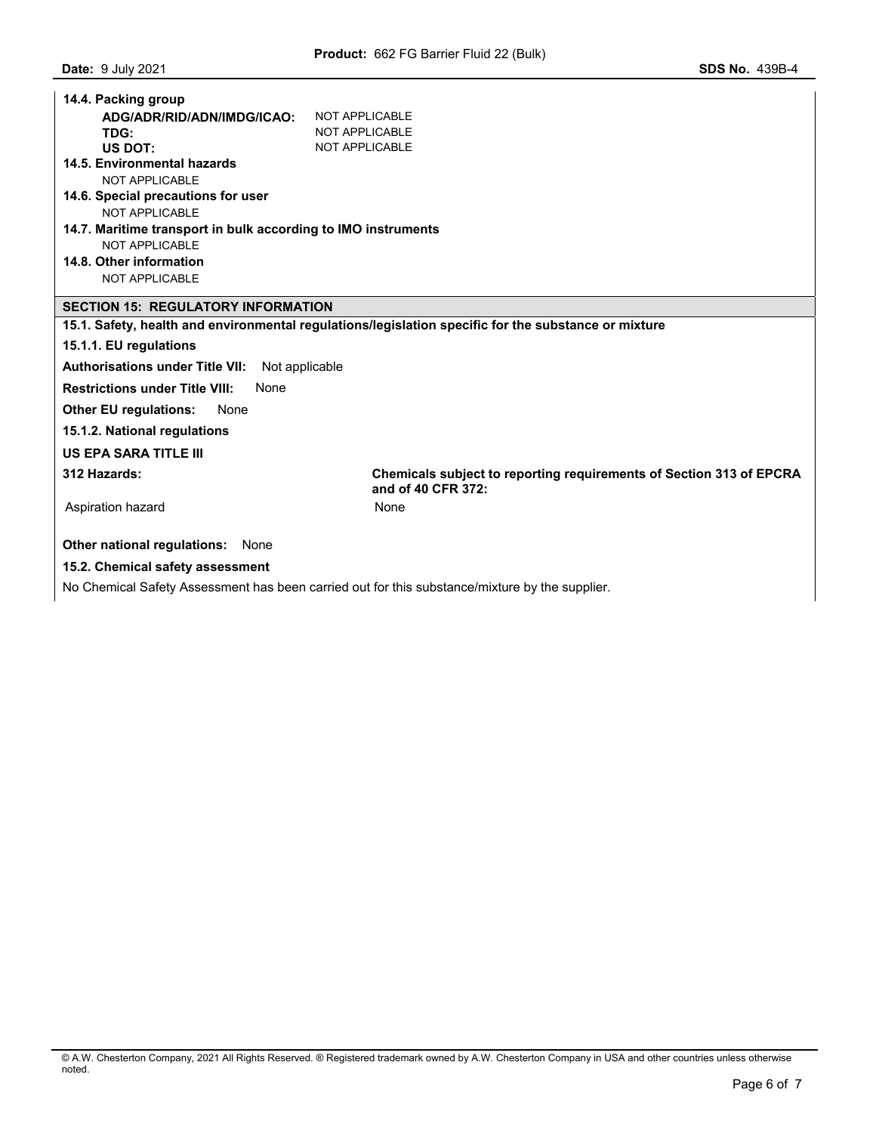| 14.4. Packing group                                           |                                                                                                      |  |  |  |  |
|---------------------------------------------------------------|------------------------------------------------------------------------------------------------------|--|--|--|--|
| ADG/ADR/RID/ADN/IMDG/ICAO:                                    | NOT APPLICABLE                                                                                       |  |  |  |  |
| TDG:                                                          | NOT APPLICABLE                                                                                       |  |  |  |  |
| US DOT:                                                       | <b>NOT APPLICABLE</b>                                                                                |  |  |  |  |
| 14.5. Environmental hazards                                   |                                                                                                      |  |  |  |  |
| NOT APPLICABLE                                                |                                                                                                      |  |  |  |  |
| 14.6. Special precautions for user                            |                                                                                                      |  |  |  |  |
| NOT APPLICABLE                                                |                                                                                                      |  |  |  |  |
| 14.7. Maritime transport in bulk according to IMO instruments |                                                                                                      |  |  |  |  |
| <b>NOT APPLICABLE</b>                                         |                                                                                                      |  |  |  |  |
| 14.8. Other information                                       |                                                                                                      |  |  |  |  |
| <b>NOT APPLICABLE</b>                                         |                                                                                                      |  |  |  |  |
| <b>SECTION 15: REGULATORY INFORMATION</b>                     |                                                                                                      |  |  |  |  |
|                                                               | 15.1. Safety, health and environmental regulations/legislation specific for the substance or mixture |  |  |  |  |
| 15.1.1. EU regulations                                        |                                                                                                      |  |  |  |  |
| <b>Authorisations under Title VII:</b><br>Not applicable      |                                                                                                      |  |  |  |  |
| <b>Restrictions under Title VIII:</b><br>None                 |                                                                                                      |  |  |  |  |
| <b>Other EU regulations:</b><br>None                          |                                                                                                      |  |  |  |  |
| 15.1.2. National regulations                                  |                                                                                                      |  |  |  |  |
| <b>US EPA SARA TITLE III</b>                                  |                                                                                                      |  |  |  |  |
| 312 Hazards:                                                  | <b>Chemicals subject to reporting requirements of Section 313 of EPCRA</b><br>and of 40 CFR 372:     |  |  |  |  |
| Aspiration hazard                                             | None                                                                                                 |  |  |  |  |
| Other national regulations:<br>None                           |                                                                                                      |  |  |  |  |
| 15.2. Chemical safety assessment                              |                                                                                                      |  |  |  |  |

No Chemical Safety Assessment has been carried out for this substance/mixture by the supplier.

<sup>©</sup> A.W. Chesterton Company, 2021 All Rights Reserved. ® Registered trademark owned by A.W. Chesterton Company in USA and other countries unless otherwise noted.